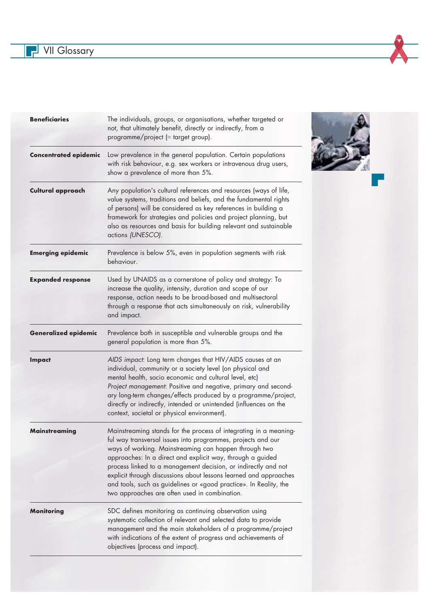**THE VII Glossary** 



r.

| <b>Beneficiaries</b>         | The individuals, groups, or organisations, whether targeted or<br>not, that ultimately benefit, directly or indirectly, from a<br>programme/project $\approx$ target group).                                                                                                                                                                                                                                                                                                                                          |
|------------------------------|-----------------------------------------------------------------------------------------------------------------------------------------------------------------------------------------------------------------------------------------------------------------------------------------------------------------------------------------------------------------------------------------------------------------------------------------------------------------------------------------------------------------------|
| <b>Concentrated epidemic</b> | Low prevalence in the general population. Certain populations<br>with risk behaviour, e.g. sex workers or intravenous drug users,<br>show a prevalence of more than 5%.                                                                                                                                                                                                                                                                                                                                               |
| <b>Cultural approach</b>     | Any population's cultural references and resources (ways of life,<br>value systems, traditions and beliefs, and the fundamental rights<br>of persons) will be considered as key references in building a<br>framework for strategies and policies and project planning, but<br>also as resources and basis for building relevant and sustainable<br>actions (UNESCO).                                                                                                                                                 |
| <b>Emerging epidemic</b>     | Prevalence is below 5%, even in population segments with risk<br>behaviour.                                                                                                                                                                                                                                                                                                                                                                                                                                           |
| <b>Expanded response</b>     | Used by UNAIDS as a cornerstone of policy and strategy: To<br>increase the quality, intensity, duration and scope of our<br>response, action needs to be broad-based and multisectoral<br>through a response that acts simultaneously on risk, vulnerability<br>and impact.                                                                                                                                                                                                                                           |
| <b>Generalized epidemic</b>  | Prevalence both in susceptible and vulnerable groups and the<br>general population is more than 5%.                                                                                                                                                                                                                                                                                                                                                                                                                   |
| <b>Impact</b>                | AIDS impact: Long term changes that HIV/AIDS causes at an<br>individual, community or a society level (on physical and<br>mental health, socio economic and cultural level, etc)<br>Project management: Positive and negative, primary and second-<br>ary long-term changes/effects produced by a programme/project,<br>directly or indirectly, intended or unintended (influences on the<br>context, societal or physical environment).                                                                              |
| mainstreaming                | Mainstreaming stands for the process of integrating in a meaning-<br>ful way transversal issues into programmes, projects and our<br>ways of working. Mainstreaming can happen through two<br>approaches: In a direct and explicit way, through a guided<br>process linked to a management decision, or indirectly and not<br>explicit through discussions about lessons learned and approaches<br>and tools, such as guidelines or «good practice». In Reality, the<br>two approaches are often used in combination. |
| <b>Monitoring</b>            | SDC defines monitoring as continuing observation using<br>systematic collection of relevant and selected data to provide<br>management and the main stakeholders of a programme/project<br>with indications of the extent of progress and achievements of<br>objectives (process and impact).                                                                                                                                                                                                                         |